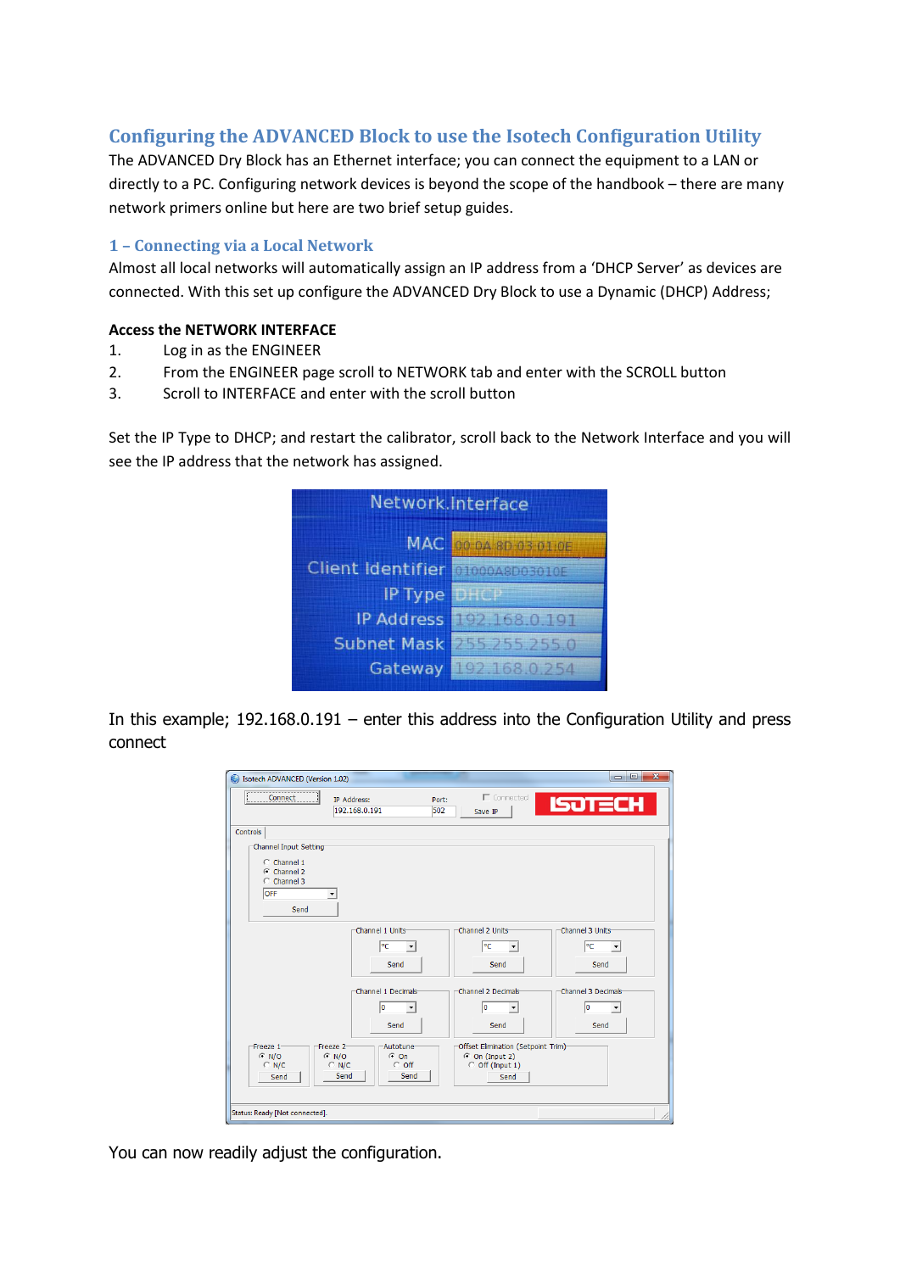# **Configuring the ADVANCED Block to use the Isotech Configuration Utility**

The ADVANCED Dry Block has an Ethernet interface; you can connect the equipment to a LAN or directly to a PC. Configuring network devices is beyond the scope of the handbook – there are many network primers online but here are two brief setup guides.

#### **1 – Connecting via a Local Network**

Almost all local networks will automatically assign an IP address from a 'DHCP Server' as devices are connected. With this set up configure the ADVANCED Dry Block to use a Dynamic (DHCP) Address;

#### **Access the NETWORK INTERFACE**

- 1. Log in as the ENGINEER
- 2. From the ENGINEER page scroll to NETWORK tab and enter with the SCROLL button
- 3. Scroll to INTERFACE and enter with the scroll button

Set the IP Type to DHCP; and restart the calibrator, scroll back to the Network Interface and you will see the IP address that the network has assigned.

| Network.Interface                |                                  |  |  |
|----------------------------------|----------------------------------|--|--|
|                                  | MAC 00:04:80:03:01:0E            |  |  |
| Client Identifier @1000A8D03010E |                                  |  |  |
| IP Type                          | <b>TDHC</b> A                    |  |  |
|                                  | IP Address <b>CONTRESTOR IST</b> |  |  |
|                                  | Subnet Mask 255 255 0            |  |  |
|                                  | Gateway 192 168 0 254            |  |  |

In this example; 192.168.0.191 – enter this address into the Configuration Utility and press connect

| Isotech ADVANCED (Version 1.02)<br>€                                                |                                                          |                                                                                       | $\overline{\mathbf{x}}$                                |
|-------------------------------------------------------------------------------------|----------------------------------------------------------|---------------------------------------------------------------------------------------|--------------------------------------------------------|
| Connect                                                                             | IP Address:<br>Port:<br>192.168.0.191<br>502             | $\Gamma$ Connected<br>Save IP                                                         | <b>ISOTECH</b>                                         |
| Controls                                                                            |                                                          |                                                                                       |                                                        |
| Channel Input Setting<br>C Channel 1<br>$G$ Channel 2<br>C Channel 3<br>OFF<br>Send |                                                          |                                                                                       |                                                        |
|                                                                                     | Channel 1 Units<br>РC<br>$\blacktriangledown$<br>Send    | Channel 2 Units<br>∣℃<br>$\blacktriangledown$<br>Send                                 | Channel 3 Units<br>lеc<br>$\blacktriangledown$<br>Send |
|                                                                                     | Channel 1 Decimals<br>lo<br>$\blacktriangledown$<br>Send | Channel 2 Decimals<br>I٥<br>Send                                                      | Channel 3 Decimals<br>lo<br>Send                       |
| Freeze 1<br>Freeze <sub>2</sub><br>$C$ N/O<br>$C$ N/O<br>$C$ N/C<br>$C$ N/C<br>Send | Autotune<br>$G$ On<br>$\degree$ off<br>Send<br>Send      | Offset Elimination (Setpoint Trim)<br>$\odot$ On (Input 2)<br>C Off (Input 1)<br>Send |                                                        |
| Status: Ready [Not connected].                                                      |                                                          |                                                                                       |                                                        |

You can now readily adjust the configuration.